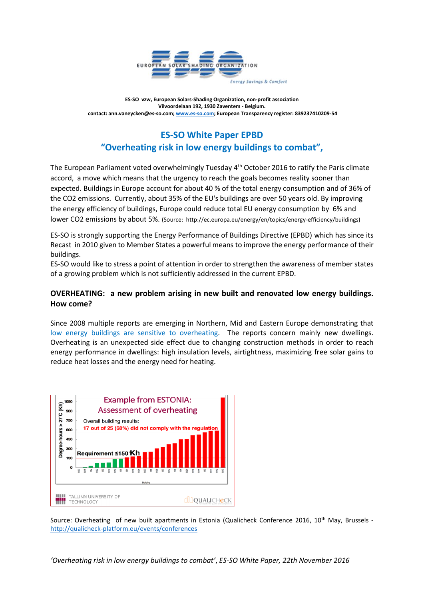

**ES-SO vzw, European Solars-Shading Organization, non-profit association Vilvoordelaan 192, 1930 Zaventem - Belgium. contact: ann.vaneycken@es-so.com[; www.es-so.com;](http://www.es-so.com/) European Transparency register: 839237410209-54**

# **ES-SO White Paper EPBD "Overheating risk in low energy buildings to combat",**

The European Parliament voted overwhelmingly Tuesday 4<sup>th</sup> October 2016 to ratify the Paris climate accord, a move which means that the urgency to reach the goals becomes reality sooner than expected. Buildings in Europe account for about 40 % of the total energy consumption and of 36% of the CO2 emissions. Currently, about 35% of the EU's buildings are over 50 years old. By improving the energy efficiency of buildings, Europe could reduce total EU energy consumption by 6% and lower CO2 emissions by about 5%. (Source: http://ec.europa.eu/energy/en/topics/energy-efficiency/buildings)

ES-SO is strongly supporting the Energy Performance of Buildings Directive (EPBD) which has since its Recast in 2010 given to Member States a powerful means to improve the energy performance of their buildings.

ES-SO would like to stress a point of attention in order to strengthen the awareness of member states of a growing problem which is not sufficiently addressed in the current EPBD.

## **OVERHEATING: a new problem arising in new built and renovated low energy buildings. How come?**

Since 2008 multiple reports are emerging in Northern, Mid and Eastern Europe demonstrating that low energy buildings are sensitive to overheating. The reports concern mainly new dwellings. Overheating is an unexpected side effect due to changing construction methods in order to reach energy performance in dwellings: high insulation levels, airtightness, maximizing free solar gains to reduce heat losses and the energy need for heating.



Source: Overheating of new built apartments in Estonia (Qualicheck Conference 2016, 10<sup>th</sup> May, Brussels <http://qualicheck-platform.eu/events/conferences>

*'Overheating risk in low energy buildings to combat'*, *ES-SO White Paper, 22th November 2016*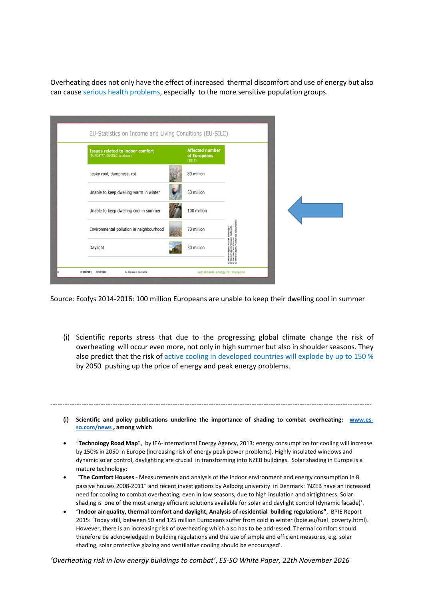Overheating does not only have the effect of increased thermal discomfort and use of energy but also can cause serious health problems, especially to the more sensitive population groups.

|          | EU-Statistics on Income and Living Conditions (EU-SILC)                 |        |                                        |                                                                                         |  |
|----------|-------------------------------------------------------------------------|--------|----------------------------------------|-----------------------------------------------------------------------------------------|--|
|          | <b>Issues related to indoor comfort</b><br>(EUROSTAT, EU-SILC database) | (2014) | <b>Affected number</b><br>of Europeans |                                                                                         |  |
|          | Leaky roof, dampness, rot                                               |        | 80 million                             |                                                                                         |  |
|          | Unable to keep dwelling warm in winter                                  |        | 50 million                             |                                                                                         |  |
|          | Unable to keep dwelling cool in summer                                  |        | 100 million                            |                                                                                         |  |
|          | Environmental pollution in neighbourhood                                |        | 70 million                             |                                                                                         |  |
|          | Daylight                                                                |        | 30 million                             | images/Murat Benioglu<br>images/Simon Cataudo<br>lia/Camihesse<br>images/Radosaw Grabow |  |
| © ECOFYS | Dr Andreas H. Hermelink<br>20/04/2016                                   |        | sustainable energy for everyone        | 0000                                                                                    |  |

Source: Ecofys 2014-2016: 100 million Europeans are unable to keep their dwelling cool in summer

(i) Scientific reports stress that due to the progressing global climate change the risk of overheating will occur even more, not only in high summer but also in shoulder seasons. They also predict that the risk of active cooling in developed countries will explode by up to 150 % by 2050 pushing up the price of energy and peak energy problems.

**(i) Scientific and policy publications underline the importance of shading to combat overheating; [www.es](http://www.es-so.com/news)[so.com/news](http://www.es-so.com/news) , among which**

--------------------------------------------------------------------------------------------------------------------------------------

- "**Technology Road Map**", by IEA-International Energy Agency, 2013: energy consumption for cooling will increase by 150% in 2050 in Europe (increasing risk of energy peak power problems). Highly insulated windows and dynamic solar control, daylighting are crucial in transforming into NZEB buildings. Solar shading in Europe is a mature technology;
- "**The Comfort Houses** Measurements and analysis of the indoor environment and energy consumption in 8 passive houses 2008-2011" and recent investigations by Aalborg university in Denmark: 'NZEB have an increased need for cooling to combat overheating, even in low seasons, due to high insulation and airtightness. Solar shading is one of the most energy efficient solutions available for solar and daylight control (dynamic façade)'.
- "**Indoor air quality, thermal comfort and daylight, Analysis of residential building regulations"**, BPIE Report 2015: 'Today still, between 50 and 125 million Europeans suffer from cold in winter (bpie.eu/fuel\_poverty.html). However, there is an increasing risk of overheating which also has to be addressed. Thermal comfort should therefore be acknowledged in building regulations and the use of simple and efficient measures, e.g. solar shading, solar protective glazing and ventilative cooling should be encouraged'.

*'Overheating risk in low energy buildings to combat'*, *ES-SO White Paper, 22th November 2016*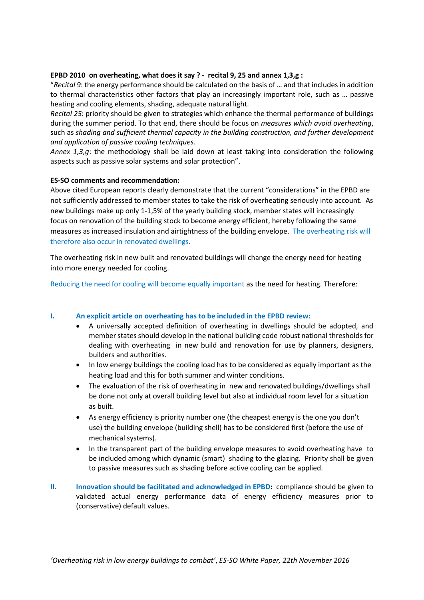### **EPBD 2010 on overheating, what does it say ? - recital 9, 25 and annex 1,3,g :**

"*Recital 9*: the energy performance should be calculated on the basis of … and that includes in addition to thermal characteristics other factors that play an increasingly important role, such as … passive heating and cooling elements, shading, adequate natural light.

*Recital 25*: priority should be given to strategies which enhance the thermal performance of buildings during the summer period. To that end, there should be focus on *measures which avoid overheating*, such as *shading and sufficient thermal capacity in the building construction, and further development and application of passive cooling techniques*.

*Annex 1,3,g*: the methodology shall be laid down at least taking into consideration the following aspects such as passive solar systems and solar protection".

## **ES-SO comments and recommendation:**

Above cited European reports clearly demonstrate that the current "considerations" in the EPBD are not sufficiently addressed to member states to take the risk of overheating seriously into account. As new buildings make up only 1-1,5% of the yearly building stock, member states will increasingly focus on renovation of the building stock to become energy efficient, hereby following the same measures as increased insulation and airtightness of the building envelope. The overheating risk will therefore also occur in renovated dwellings.

The overheating risk in new built and renovated buildings will change the energy need for heating into more energy needed for cooling.

Reducing the need for cooling will become equally important as the need for heating. Therefore:

### **I. An explicit article on overheating has to be included in the EPBD review:**

- A universally accepted definition of overheating in dwellings should be adopted, and member states should develop in the national building code robust national thresholds for dealing with overheating in new build and renovation for use by planners, designers, builders and authorities.
- In low energy buildings the cooling load has to be considered as equally important as the heating load and this for both summer and winter conditions.
- The evaluation of the risk of overheating in new and renovated buildings/dwellings shall be done not only at overall building level but also at individual room level for a situation as built.
- As energy efficiency is priority number one (the cheapest energy is the one you don't use) the building envelope (building shell) has to be considered first (before the use of mechanical systems).
- In the transparent part of the building envelope measures to avoid overheating have to be included among which dynamic (smart) shading to the glazing. Priority shall be given to passive measures such as shading before active cooling can be applied.
- **II. Innovation should be facilitated and acknowledged in EPBD:** compliance should be given to validated actual energy performance data of energy efficiency measures prior to (conservative) default values.